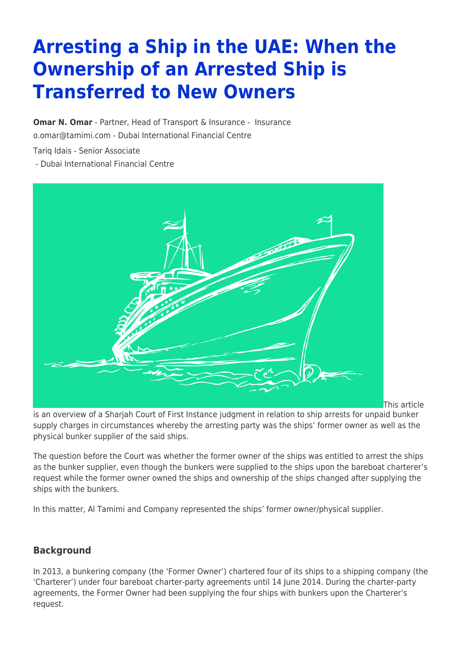# **Arresting a Ship in the UAE: When the Ownership of an Arrested Ship is Transferred to New Owners**

**[Omar N. Omar](https://www.tamimi.com/find-a-lawyer/omar-omar/)** - Partner, Head of Transport & Insurance - [Insurance](https://www.tamimi.com/client-services/practices/insurance/) [o.omar@tamimi.com](mailto:o.omar@tamimi.com) - [Dubai International Financial Centre](https://www.tamimi.com/locations/uae/)

Tariq Idais - Senior Associate

- [Dubai International Financial Centre](https://www.tamimi.com/locations/uae/)



This article

is an overview of a Sharjah Court of First Instance judgment in relation to ship arrests for unpaid bunker supply charges in circumstances whereby the arresting party was the ships' former owner as well as the physical bunker supplier of the said ships.

The question before the Court was whether the former owner of the ships was entitled to arrest the ships as the bunker supplier, even though the bunkers were supplied to the ships upon the bareboat charterer's request while the former owner owned the ships and ownership of the ships changed after supplying the ships with the bunkers.

In this matter, Al Tamimi and Company represented the ships' former owner/physical supplier.

# **Background**

In 2013, a bunkering company (the 'Former Owner') chartered four of its ships to a shipping company (the 'Charterer') under four bareboat charter-party agreements until 14 June 2014. During the charter-party agreements, the Former Owner had been supplying the four ships with bunkers upon the Charterer's request.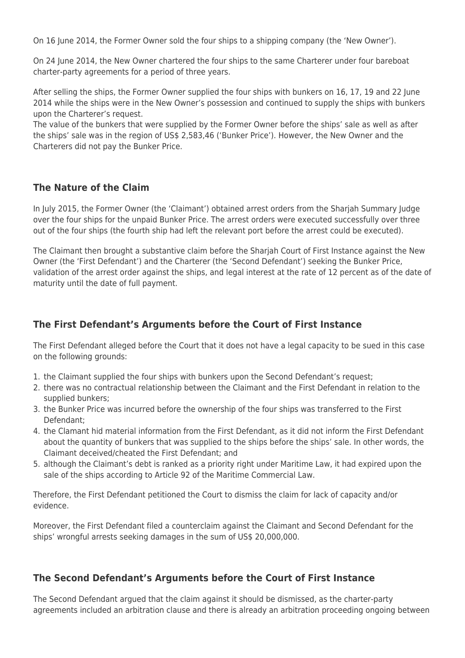On 16 June 2014, the Former Owner sold the four ships to a shipping company (the 'New Owner').

On 24 June 2014, the New Owner chartered the four ships to the same Charterer under four bareboat charter-party agreements for a period of three years.

After selling the ships, the Former Owner supplied the four ships with bunkers on 16, 17, 19 and 22 June 2014 while the ships were in the New Owner's possession and continued to supply the ships with bunkers upon the Charterer's request.

The value of the bunkers that were supplied by the Former Owner before the ships' sale as well as after the ships' sale was in the region of US\$ 2,583,46 ('Bunker Price'). However, the New Owner and the Charterers did not pay the Bunker Price.

#### **The Nature of the Claim**

In July 2015, the Former Owner (the 'Claimant') obtained arrest orders from the Sharjah Summary Judge over the four ships for the unpaid Bunker Price. The arrest orders were executed successfully over three out of the four ships (the fourth ship had left the relevant port before the arrest could be executed).

The Claimant then brought a substantive claim before the Sharjah Court of First Instance against the New Owner (the 'First Defendant') and the Charterer (the 'Second Defendant') seeking the Bunker Price, validation of the arrest order against the ships, and legal interest at the rate of 12 percent as of the date of maturity until the date of full payment.

### **The First Defendant's Arguments before the Court of First Instance**

The First Defendant alleged before the Court that it does not have a legal capacity to be sued in this case on the following grounds:

- 1. the Claimant supplied the four ships with bunkers upon the Second Defendant's request;
- 2. there was no contractual relationship between the Claimant and the First Defendant in relation to the supplied bunkers;
- 3. the Bunker Price was incurred before the ownership of the four ships was transferred to the First Defendant;
- 4. the Clamant hid material information from the First Defendant, as it did not inform the First Defendant about the quantity of bunkers that was supplied to the ships before the ships' sale. In other words, the Claimant deceived/cheated the First Defendant; and
- 5. although the Claimant's debt is ranked as a priority right under Maritime Law, it had expired upon the sale of the ships according to Article 92 of the Maritime Commercial Law.

Therefore, the First Defendant petitioned the Court to dismiss the claim for lack of capacity and/or evidence.

Moreover, the First Defendant filed a counterclaim against the Claimant and Second Defendant for the ships' wrongful arrests seeking damages in the sum of US\$ 20,000,000.

#### **The Second Defendant's Arguments before the Court of First Instance**

The Second Defendant argued that the claim against it should be dismissed, as the charter-party agreements included an arbitration clause and there is already an arbitration proceeding ongoing between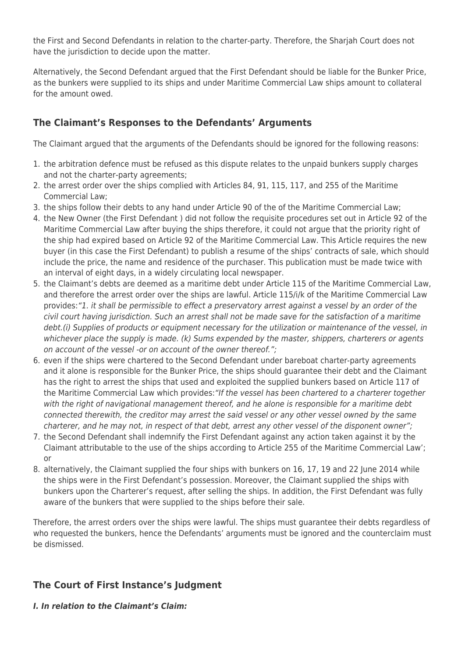the First and Second Defendants in relation to the charter-party. Therefore, the Sharjah Court does not have the jurisdiction to decide upon the matter.

Alternatively, the Second Defendant argued that the First Defendant should be liable for the Bunker Price, as the bunkers were supplied to its ships and under Maritime Commercial Law ships amount to collateral for the amount owed.

# **The Claimant's Responses to the Defendants' Arguments**

The Claimant argued that the arguments of the Defendants should be ignored for the following reasons:

- 1. the arbitration defence must be refused as this dispute relates to the unpaid bunkers supply charges and not the charter-party agreements;
- 2. the arrest order over the ships complied with Articles 84, 91, 115, 117, and 255 of the Maritime Commercial Law;
- 3. the ships follow their debts to any hand under Article 90 of the of the Maritime Commercial Law;
- 4. the New Owner (the First Defendant ) did not follow the requisite procedures set out in Article 92 of the Maritime Commercial Law after buying the ships therefore, it could not argue that the priority right of the ship had expired based on Article 92 of the Maritime Commercial Law. This Article requires the new buyer (in this case the First Defendant) to publish a resume of the ships' contracts of sale, which should include the price, the name and residence of the purchaser. This publication must be made twice with an interval of eight days, in a widely circulating local newspaper.
- 5. the Claimant's debts are deemed as a maritime debt under Article 115 of the Maritime Commercial Law, and therefore the arrest order over the ships are lawful. Article 115/i/k of the Maritime Commercial Law provides:"1. it shall be permissible to effect a preservatory arrest against a vessel by an order of the civil court having jurisdiction. Such an arrest shall not be made save for the satisfaction of a maritime debt.(i) Supplies of products or equipment necessary for the utilization or maintenance of the vessel, in whichever place the supply is made. (k) Sums expended by the master, shippers, charterers or agents on account of the vessel -or on account of the owner thereof.";
- 6. even if the ships were chartered to the Second Defendant under bareboat charter-party agreements and it alone is responsible for the Bunker Price, the ships should guarantee their debt and the Claimant has the right to arrest the ships that used and exploited the supplied bunkers based on Article 117 of the Maritime Commercial Law which provides:"If the vessel has been chartered to a charterer together with the right of navigational management thereof, and he alone is responsible for a maritime debt connected therewith, the creditor may arrest the said vessel or any other vessel owned by the same charterer, and he may not, in respect of that debt, arrest any other vessel of the disponent owner";
- 7. the Second Defendant shall indemnify the First Defendant against any action taken against it by the Claimant attributable to the use of the ships according to Article 255 of the Maritime Commercial Law'; or
- 8. alternatively, the Claimant supplied the four ships with bunkers on 16, 17, 19 and 22 June 2014 while the ships were in the First Defendant's possession. Moreover, the Claimant supplied the ships with bunkers upon the Charterer's request, after selling the ships. In addition, the First Defendant was fully aware of the bunkers that were supplied to the ships before their sale.

Therefore, the arrest orders over the ships were lawful. The ships must guarantee their debts regardless of who requested the bunkers, hence the Defendants' arguments must be ignored and the counterclaim must be dismissed.

# **The Court of First Instance's Judgment**

*I. In relation to the Claimant's Claim:*